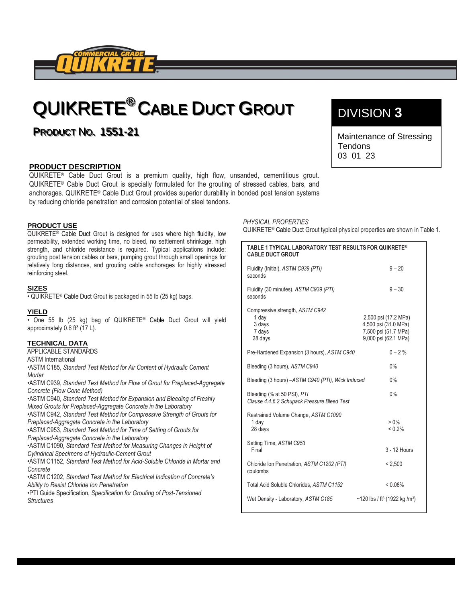

# QUIKRETE®CABLE DUCT GROUT

**PRODUCT NO. 1551-21** 

### **PRODUCT DESCRIPTION**

QUIKRETE® Cable Duct Grout is a premium quality, high flow, unsanded, cementitious grout. QUIKRETE® Cable Duct Grout is specially formulated for the grouting of stressed cables, bars, and anchorages. QUIKRETE® Cable Duct Grout provides superior durability in bonded post tension systems by reducing chloride penetration and corrosion potential of steel tendons.

### **PRODUCT USE**

QUIKRETE<sup>®</sup> Cable Duct Grout is designed for uses where high fluidity, low permeability, extended working time, no bleed, no settlement shrinkage, high strength, and chloride resistance is required. Typical applications include: grouting post tension cables or bars, pumping grout through small openings for relatively long distances, and grouting cable anchorages for highly stressed reinforcing steel.

#### **SIZES**

• QUIKRETE® Cable Duct Grout is packaged in 55 lb (25 kg) bags.

#### **YIELD**

• One 55 lb (25 kg) bag of QUIKRETE® Cable Duct Grout will yield approximately  $0.6$  ft<sup>3</sup> (17 L).

### **TECHNICAL DATA**

APPLICABLE STANDARDS ASTM International •ASTM C185, *Standard Test Method for Air Content of Hydraulic Cement Mortar*

•ASTM C939, *Standard Test Method for Flow of Grout for Preplaced-Aggregate Concrete (Flow Cone Method)*

•ASTM C940, *Standard Test Method for Expansion and Bleeding of Freshly Mixed Grouts for Preplaced-Aggregate Concrete in the Laboratory*

•ASTM C942, *Standard Test Method for Compressive Strength of Grouts for Preplaced-Aggregate Concrete in the Laboratory*

•ASTM C953, *Standard Test Method for Time of Setting of Grouts for Preplaced-Aggregate Concrete in the Laboratory*

•ASTM C1090, *Standard Test Method for Measuring Changes in Height of Cylindrical Specimens of Hydraulic-Cement Grout*

•ASTM C1152, *Standard Test Method for Acid-Soluble Chloride in Mortar and Concrete*

•ASTM C1202, *Standard Test Method for Electrical Indication of Concrete's Ability to Resist Chloride Ion Penetration*

•PTI Guide Specification, *Specification for Grouting of Post-Tensioned Structures*

## DIVISION **3**

**2** Maintenance of Stressing **Tendons** 03 01 23

*PHYSICAL PROPERTIES*

1

QUIKRETE® Cable Duct Grout typical physical properties are shown in Table 1.

| TABLE 1 TYPICAL LABORATORY TEST RESULTS FOR QUIKRETE®<br><b>CABLE DUCT GROUT</b> |                                                                                              |
|----------------------------------------------------------------------------------|----------------------------------------------------------------------------------------------|
| Fluidity (Initial), ASTM C939 (PTI)<br>seconds                                   | $9 - 20$                                                                                     |
| Fluidity (30 minutes), ASTM C939 (PTI)<br>seconds                                | $9 - 30$                                                                                     |
| Compressive strength, ASTM C942<br>1 day<br>3 days<br>7 days<br>28 days          | 2,500 psi (17.2 MPa)<br>4,500 psi (31.0 MPa)<br>7,500 psi (51.7 MPa)<br>9,000 psi (62.1 MPa) |
| Pre-Hardened Expansion (3 hours), ASTM C940                                      | $0 - 2\%$                                                                                    |
| Bleeding (3 hours), ASTM C940                                                    | 0%                                                                                           |
| Bleeding (3 hours) -ASTM C940 (PTI), Wick Induced                                | 0%                                                                                           |
| Bleeding (% at 50 PSI), PTI<br>Clause 4.4.6.2 Schupack Pressure Bleed Test       | 0%                                                                                           |
| Restrained Volume Change, ASTM C1090<br>1 day<br>28 days                         | $> 0\%$<br>< 0.2%                                                                            |
| Setting Time, ASTM C953<br>Final                                                 | 3 - 12 Hours                                                                                 |
| Chloride Ion Penetration, ASTM C1202 (PTI)<br>coulombs                           | < 2,500                                                                                      |
| Total Acid Soluble Chlorides, ASTM C1152                                         | $< 0.08\%$                                                                                   |
| Wet Density - Laboratory, ASTM C185                                              | $\sim$ 120 lbs / ft <sup>3</sup> (1922 kg /m <sup>3</sup> )                                  |